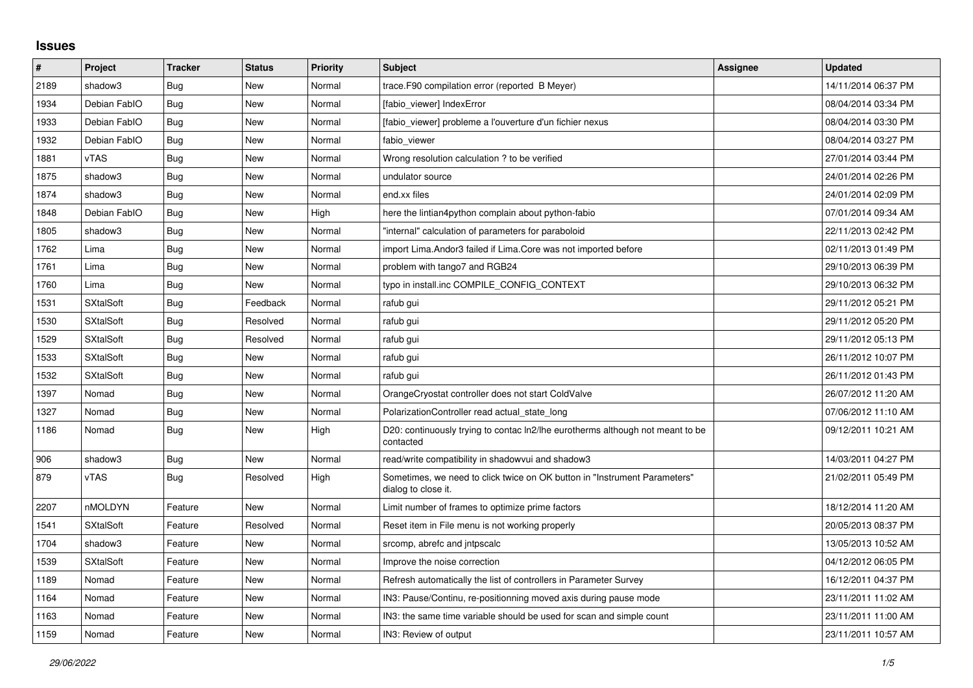## **Issues**

| #    | Project          | <b>Tracker</b> | <b>Status</b> | <b>Priority</b> | <b>Subject</b>                                                                                   | Assignee | <b>Updated</b>      |
|------|------------------|----------------|---------------|-----------------|--------------------------------------------------------------------------------------------------|----------|---------------------|
| 2189 | shadow3          | <b>Bug</b>     | New           | Normal          | trace.F90 compilation error (reported B Meyer)                                                   |          | 14/11/2014 06:37 PM |
| 1934 | Debian FablO     | Bug            | New           | Normal          | [fabio viewer] IndexError                                                                        |          | 08/04/2014 03:34 PM |
| 1933 | Debian FablO     | Bug            | New           | Normal          | [fabio viewer] probleme a l'ouverture d'un fichier nexus                                         |          | 08/04/2014 03:30 PM |
| 1932 | Debian FablO     | Bug            | New           | Normal          | fabio_viewer                                                                                     |          | 08/04/2014 03:27 PM |
| 1881 | vTAS             | Bug            | New           | Normal          | Wrong resolution calculation ? to be verified                                                    |          | 27/01/2014 03:44 PM |
| 1875 | shadow3          | Bug            | <b>New</b>    | Normal          | undulator source                                                                                 |          | 24/01/2014 02:26 PM |
| 1874 | shadow3          | <b>Bug</b>     | New           | Normal          | end.xx files                                                                                     |          | 24/01/2014 02:09 PM |
| 1848 | Debian FablO     | Bug            | <b>New</b>    | High            | here the lintian4python complain about python-fabio                                              |          | 07/01/2014 09:34 AM |
| 1805 | shadow3          | Bug            | New           | Normal          | "internal" calculation of parameters for paraboloid                                              |          | 22/11/2013 02:42 PM |
| 1762 | Lima             | Bug            | <b>New</b>    | Normal          | import Lima. Andor3 failed if Lima. Core was not imported before                                 |          | 02/11/2013 01:49 PM |
| 1761 | Lima             | <b>Bug</b>     | New           | Normal          | problem with tango7 and RGB24                                                                    |          | 29/10/2013 06:39 PM |
| 1760 | Lima             | Bug            | <b>New</b>    | Normal          | typo in install.inc COMPILE CONFIG CONTEXT                                                       |          | 29/10/2013 06:32 PM |
| 1531 | <b>SXtalSoft</b> | <b>Bug</b>     | Feedback      | Normal          | rafub gui                                                                                        |          | 29/11/2012 05:21 PM |
| 1530 | <b>SXtalSoft</b> | <b>Bug</b>     | Resolved      | Normal          | rafub gui                                                                                        |          | 29/11/2012 05:20 PM |
| 1529 | <b>SXtalSoft</b> | Bug            | Resolved      | Normal          | rafub gui                                                                                        |          | 29/11/2012 05:13 PM |
| 1533 | <b>SXtalSoft</b> | <b>Bug</b>     | <b>New</b>    | Normal          | rafub gui                                                                                        |          | 26/11/2012 10:07 PM |
| 1532 | <b>SXtalSoft</b> | <b>Bug</b>     | <b>New</b>    | Normal          | rafub qui                                                                                        |          | 26/11/2012 01:43 PM |
| 1397 | Nomad            | Bug            | New           | Normal          | OrangeCryostat controller does not start ColdValve                                               |          | 26/07/2012 11:20 AM |
| 1327 | Nomad            | <b>Bug</b>     | <b>New</b>    | Normal          | PolarizationController read actual state long                                                    |          | 07/06/2012 11:10 AM |
| 1186 | Nomad            | Bug            | New           | High            | D20: continuously trying to contac ln2/lhe eurotherms although not meant to be<br>contacted      |          | 09/12/2011 10:21 AM |
| 906  | shadow3          | Bug            | <b>New</b>    | Normal          | read/write compatibility in shadowvui and shadow3                                                |          | 14/03/2011 04:27 PM |
| 879  | vTAS             | Bug            | Resolved      | High            | Sometimes, we need to click twice on OK button in "Instrument Parameters"<br>dialog to close it. |          | 21/02/2011 05:49 PM |
| 2207 | nMOLDYN          | Feature        | New           | Normal          | Limit number of frames to optimize prime factors                                                 |          | 18/12/2014 11:20 AM |
| 1541 | <b>SXtalSoft</b> | Feature        | Resolved      | Normal          | Reset item in File menu is not working properly                                                  |          | 20/05/2013 08:37 PM |
| 1704 | shadow3          | Feature        | New           | Normal          | srcomp, abrefc and intpscalc                                                                     |          | 13/05/2013 10:52 AM |
| 1539 | <b>SXtalSoft</b> | Feature        | <b>New</b>    | Normal          | Improve the noise correction                                                                     |          | 04/12/2012 06:05 PM |
| 1189 | Nomad            | Feature        | <b>New</b>    | Normal          | Refresh automatically the list of controllers in Parameter Survey                                |          | 16/12/2011 04:37 PM |
| 1164 | Nomad            | Feature        | New           | Normal          | IN3: Pause/Continu, re-positionning moved axis during pause mode                                 |          | 23/11/2011 11:02 AM |
| 1163 | Nomad            | Feature        | <b>New</b>    | Normal          | IN3: the same time variable should be used for scan and simple count                             |          | 23/11/2011 11:00 AM |
| 1159 | Nomad            | Feature        | New           | Normal          | IN3: Review of output                                                                            |          | 23/11/2011 10:57 AM |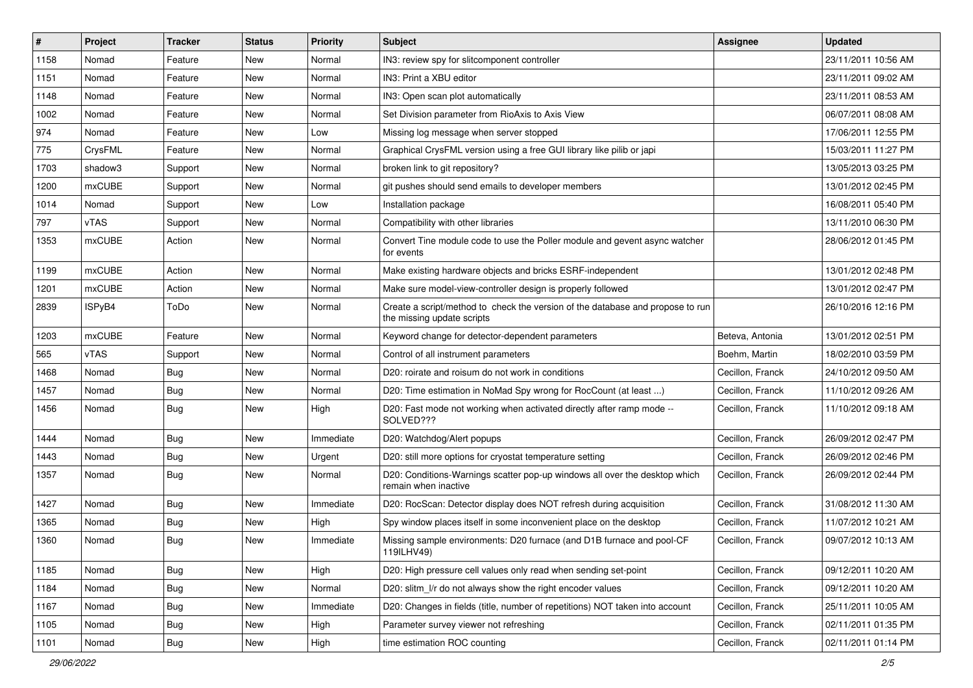| #    | Project       | <b>Tracker</b> | <b>Status</b> | <b>Priority</b> | <b>Subject</b>                                                                                               | <b>Assignee</b>  | <b>Updated</b>      |
|------|---------------|----------------|---------------|-----------------|--------------------------------------------------------------------------------------------------------------|------------------|---------------------|
| 1158 | Nomad         | Feature        | New           | Normal          | IN3: review spy for slitcomponent controller                                                                 |                  | 23/11/2011 10:56 AM |
| 1151 | Nomad         | Feature        | New           | Normal          | IN3: Print a XBU editor                                                                                      |                  | 23/11/2011 09:02 AM |
| 1148 | Nomad         | Feature        | New           | Normal          | IN3: Open scan plot automatically                                                                            |                  | 23/11/2011 08:53 AM |
| 1002 | Nomad         | Feature        | New           | Normal          | Set Division parameter from RioAxis to Axis View                                                             |                  | 06/07/2011 08:08 AM |
| 974  | Nomad         | Feature        | New           | Low             | Missing log message when server stopped                                                                      |                  | 17/06/2011 12:55 PM |
| 775  | CrysFML       | Feature        | New           | Normal          | Graphical CrysFML version using a free GUI library like pilib or japi                                        |                  | 15/03/2011 11:27 PM |
| 1703 | shadow3       | Support        | New           | Normal          | broken link to git repository?                                                                               |                  | 13/05/2013 03:25 PM |
| 1200 | <b>mxCUBE</b> | Support        | New           | Normal          | git pushes should send emails to developer members                                                           |                  | 13/01/2012 02:45 PM |
| 1014 | Nomad         | Support        | New           | Low             | Installation package                                                                                         |                  | 16/08/2011 05:40 PM |
| 797  | vTAS          | Support        | New           | Normal          | Compatibility with other libraries                                                                           |                  | 13/11/2010 06:30 PM |
| 1353 | mxCUBE        | Action         | New           | Normal          | Convert Tine module code to use the Poller module and gevent async watcher<br>for events                     |                  | 28/06/2012 01:45 PM |
| 1199 | mxCUBE        | Action         | New           | Normal          | Make existing hardware objects and bricks ESRF-independent                                                   |                  | 13/01/2012 02:48 PM |
| 1201 | mxCUBE        | Action         | New           | Normal          | Make sure model-view-controller design is properly followed                                                  |                  | 13/01/2012 02:47 PM |
| 2839 | ISPyB4        | ToDo           | New           | Normal          | Create a script/method to check the version of the database and propose to run<br>the missing update scripts |                  | 26/10/2016 12:16 PM |
| 1203 | mxCUBE        | Feature        | New           | Normal          | Keyword change for detector-dependent parameters                                                             | Beteva, Antonia  | 13/01/2012 02:51 PM |
| 565  | vTAS          | Support        | New           | Normal          | Control of all instrument parameters                                                                         | Boehm, Martin    | 18/02/2010 03:59 PM |
| 1468 | Nomad         | Bug            | New           | Normal          | D20: roirate and roisum do not work in conditions                                                            | Cecillon, Franck | 24/10/2012 09:50 AM |
| 1457 | Nomad         | <b>Bug</b>     | New           | Normal          | D20: Time estimation in NoMad Spy wrong for RocCount (at least )                                             | Cecillon, Franck | 11/10/2012 09:26 AM |
| 1456 | Nomad         | <b>Bug</b>     | New           | High            | D20: Fast mode not working when activated directly after ramp mode --<br>SOLVED???                           | Cecillon, Franck | 11/10/2012 09:18 AM |
| 1444 | Nomad         | <b>Bug</b>     | New           | Immediate       | D20: Watchdog/Alert popups                                                                                   | Cecillon, Franck | 26/09/2012 02:47 PM |
| 1443 | Nomad         | Bug            | New           | Urgent          | D20: still more options for cryostat temperature setting                                                     | Cecillon, Franck | 26/09/2012 02:46 PM |
| 1357 | Nomad         | Bug            | New           | Normal          | D20: Conditions-Warnings scatter pop-up windows all over the desktop which<br>remain when inactive           | Cecillon, Franck | 26/09/2012 02:44 PM |
| 1427 | Nomad         | Bug            | New           | Immediate       | D20: RocScan: Detector display does NOT refresh during acquisition                                           | Cecillon, Franck | 31/08/2012 11:30 AM |
| 1365 | Nomad         | Bug            | New           | High            | Spy window places itself in some inconvenient place on the desktop                                           | Cecillon, Franck | 11/07/2012 10:21 AM |
| 1360 | Nomad         | <b>Bug</b>     | New           | Immediate       | Missing sample environments: D20 furnace (and D1B furnace and pool-CF<br>119ILHV49)                          | Cecillon, Franck | 09/07/2012 10:13 AM |
| 1185 | Nomad         | Bug            | <b>New</b>    | High            | D20: High pressure cell values only read when sending set-point                                              | Cecillon, Franck | 09/12/2011 10:20 AM |
| 1184 | Nomad         | <b>Bug</b>     | New           | Normal          | D20: slitm I/r do not always show the right encoder values                                                   | Cecillon, Franck | 09/12/2011 10:20 AM |
| 1167 | Nomad         | <b>Bug</b>     | New           | Immediate       | D20: Changes in fields (title, number of repetitions) NOT taken into account                                 | Cecillon, Franck | 25/11/2011 10:05 AM |
| 1105 | Nomad         | <b>Bug</b>     | New           | High            | Parameter survey viewer not refreshing                                                                       | Cecillon, Franck | 02/11/2011 01:35 PM |
| 1101 | Nomad         | Bug            | New           | High            | time estimation ROC counting                                                                                 | Cecillon, Franck | 02/11/2011 01:14 PM |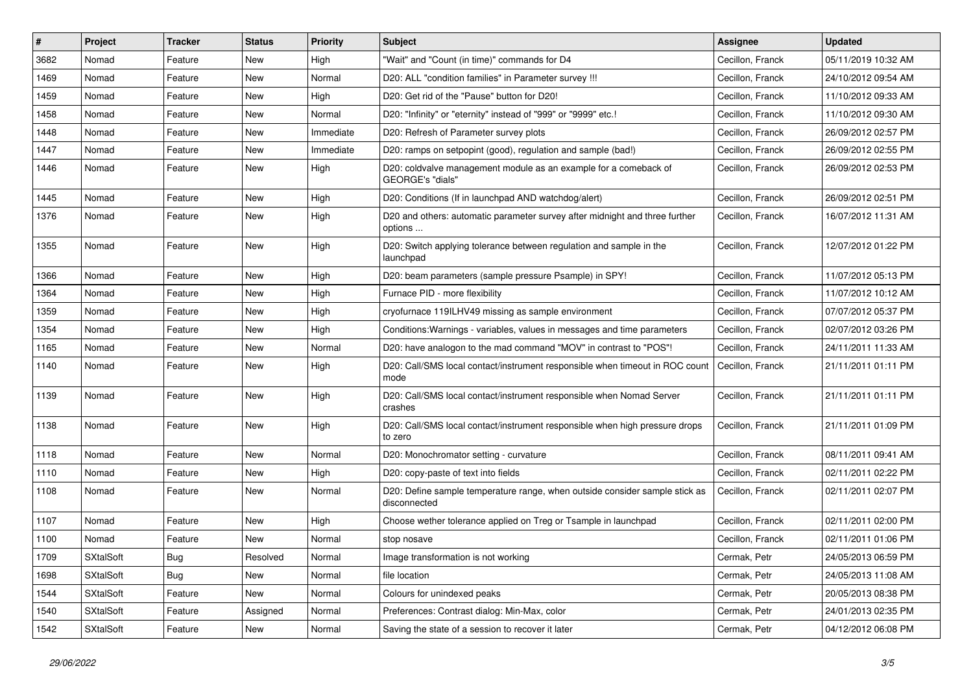| #    | Project          | <b>Tracker</b> | <b>Status</b> | <b>Priority</b> | Subject                                                                                     | <b>Assignee</b>  | <b>Updated</b>      |
|------|------------------|----------------|---------------|-----------------|---------------------------------------------------------------------------------------------|------------------|---------------------|
| 3682 | Nomad            | Feature        | New           | High            | "Wait" and "Count (in time)" commands for D4                                                | Cecillon, Franck | 05/11/2019 10:32 AM |
| 1469 | Nomad            | Feature        | New           | Normal          | D20: ALL "condition families" in Parameter survey !!!                                       | Cecillon, Franck | 24/10/2012 09:54 AM |
| 1459 | Nomad            | Feature        | New           | High            | D20: Get rid of the "Pause" button for D20!                                                 | Cecillon, Franck | 11/10/2012 09:33 AM |
| 1458 | Nomad            | Feature        | New           | Normal          | D20: "Infinity" or "eternity" instead of "999" or "9999" etc.!                              | Cecillon, Franck | 11/10/2012 09:30 AM |
| 1448 | Nomad            | Feature        | New           | Immediate       | D20: Refresh of Parameter survey plots                                                      | Cecillon, Franck | 26/09/2012 02:57 PM |
| 1447 | Nomad            | Feature        | New           | Immediate       | D20: ramps on setpopint (good), regulation and sample (bad!)                                | Cecillon, Franck | 26/09/2012 02:55 PM |
| 1446 | Nomad            | Feature        | New           | High            | D20: coldvalve management module as an example for a comeback of<br>GEORGE's "dials"        | Cecillon, Franck | 26/09/2012 02:53 PM |
| 1445 | Nomad            | Feature        | New           | High            | D20: Conditions (If in launchpad AND watchdog/alert)                                        | Cecillon, Franck | 26/09/2012 02:51 PM |
| 1376 | Nomad            | Feature        | New           | High            | D20 and others: automatic parameter survey after midnight and three further<br>options      | Cecillon, Franck | 16/07/2012 11:31 AM |
| 1355 | Nomad            | Feature        | <b>New</b>    | High            | D20: Switch applying tolerance between regulation and sample in the<br>launchpad            | Cecillon, Franck | 12/07/2012 01:22 PM |
| 1366 | Nomad            | Feature        | New           | High            | D20: beam parameters (sample pressure Psample) in SPY!                                      | Cecillon, Franck | 11/07/2012 05:13 PM |
| 1364 | Nomad            | Feature        | New           | High            | Furnace PID - more flexibility                                                              | Cecillon, Franck | 11/07/2012 10:12 AM |
| 1359 | Nomad            | Feature        | New           | High            | cryofurnace 119ILHV49 missing as sample environment                                         | Cecillon, Franck | 07/07/2012 05:37 PM |
| 1354 | Nomad            | Feature        | New           | High            | Conditions: Warnings - variables, values in messages and time parameters                    | Cecillon, Franck | 02/07/2012 03:26 PM |
| 1165 | Nomad            | Feature        | <b>New</b>    | Normal          | D20: have analogon to the mad command "MOV" in contrast to "POS"!                           | Cecillon, Franck | 24/11/2011 11:33 AM |
| 1140 | Nomad            | Feature        | New           | High            | D20: Call/SMS local contact/instrument responsible when timeout in ROC count<br>mode        | Cecillon, Franck | 21/11/2011 01:11 PM |
| 1139 | Nomad            | Feature        | New           | High            | D20: Call/SMS local contact/instrument responsible when Nomad Server<br>crashes             | Cecillon, Franck | 21/11/2011 01:11 PM |
| 1138 | Nomad            | Feature        | New           | High            | D20: Call/SMS local contact/instrument responsible when high pressure drops<br>to zero      | Cecillon, Franck | 21/11/2011 01:09 PM |
| 1118 | Nomad            | Feature        | New           | Normal          | D20: Monochromator setting - curvature                                                      | Cecillon, Franck | 08/11/2011 09:41 AM |
| 1110 | Nomad            | Feature        | New           | High            | D20: copy-paste of text into fields                                                         | Cecillon, Franck | 02/11/2011 02:22 PM |
| 1108 | Nomad            | Feature        | New           | Normal          | D20: Define sample temperature range, when outside consider sample stick as<br>disconnected | Cecillon, Franck | 02/11/2011 02:07 PM |
| 1107 | Nomad            | Feature        | New           | High            | Choose wether tolerance applied on Treg or Tsample in launchpad                             | Cecillon, Franck | 02/11/2011 02:00 PM |
| 1100 | Nomad            | Feature        | New           | Normal          | stop nosave                                                                                 | Cecillon, Franck | 02/11/2011 01:06 PM |
| 1709 | <b>SXtalSoft</b> | <b>Bug</b>     | Resolved      | Normal          | Image transformation is not working                                                         | Cermak, Petr     | 24/05/2013 06:59 PM |
| 1698 | <b>SXtalSoft</b> | Bug            | New           | Normal          | file location                                                                               | Cermak, Petr     | 24/05/2013 11:08 AM |
| 1544 | <b>SXtalSoft</b> | Feature        | New           | Normal          | Colours for unindexed peaks                                                                 | Cermak, Petr     | 20/05/2013 08:38 PM |
| 1540 | <b>SXtalSoft</b> | Feature        | Assigned      | Normal          | Preferences: Contrast dialog: Min-Max, color                                                | Cermak, Petr     | 24/01/2013 02:35 PM |
| 1542 | SXtalSoft        | Feature        | New           | Normal          | Saving the state of a session to recover it later                                           | Cermak, Petr     | 04/12/2012 06:08 PM |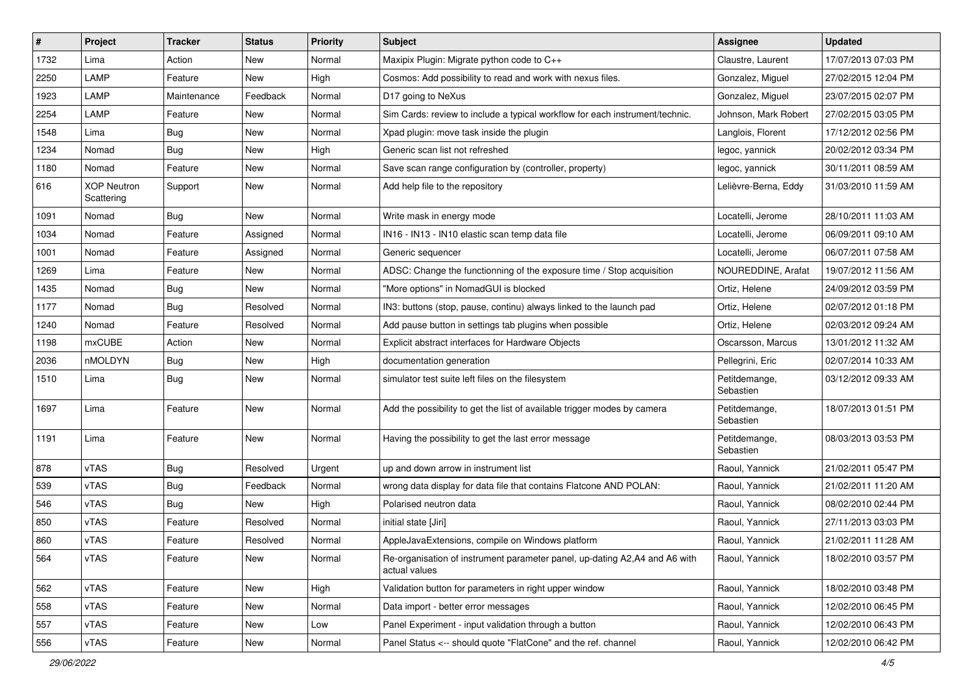| $\sharp$ | Project                          | <b>Tracker</b> | <b>Status</b> | <b>Priority</b> | <b>Subject</b>                                                                              | <b>Assignee</b>            | <b>Updated</b>      |
|----------|----------------------------------|----------------|---------------|-----------------|---------------------------------------------------------------------------------------------|----------------------------|---------------------|
| 1732     | Lima                             | Action         | New           | Normal          | Maxipix Plugin: Migrate python code to C++                                                  | Claustre, Laurent          | 17/07/2013 07:03 PM |
| 2250     | LAMP                             | Feature        | New           | High            | Cosmos: Add possibility to read and work with nexus files.                                  | Gonzalez, Miguel           | 27/02/2015 12:04 PM |
| 1923     | LAMP                             | Maintenance    | Feedback      | Normal          | D17 going to NeXus                                                                          | Gonzalez, Miguel           | 23/07/2015 02:07 PM |
| 2254     | LAMP                             | Feature        | New           | Normal          | Sim Cards: review to include a typical workflow for each instrument/technic.                | Johnson, Mark Robert       | 27/02/2015 03:05 PM |
| 1548     | Lima                             | <b>Bug</b>     | New           | Normal          | Xpad plugin: move task inside the plugin                                                    | Langlois, Florent          | 17/12/2012 02:56 PM |
| 1234     | Nomad                            | <b>Bug</b>     | New           | High            | Generic scan list not refreshed                                                             | legoc, yannick             | 20/02/2012 03:34 PM |
| 1180     | Nomad                            | Feature        | New           | Normal          | Save scan range configuration by (controller, property)                                     | legoc, yannick             | 30/11/2011 08:59 AM |
| 616      | <b>XOP Neutron</b><br>Scattering | Support        | New           | Normal          | Add help file to the repository                                                             | Lelièvre-Berna, Eddy       | 31/03/2010 11:59 AM |
| 1091     | Nomad                            | <b>Bug</b>     | <b>New</b>    | Normal          | Write mask in energy mode                                                                   | Locatelli, Jerome          | 28/10/2011 11:03 AM |
| 1034     | Nomad                            | Feature        | Assigned      | Normal          | IN16 - IN13 - IN10 elastic scan temp data file                                              | Locatelli, Jerome          | 06/09/2011 09:10 AM |
| 1001     | Nomad                            | Feature        | Assigned      | Normal          | Generic sequencer                                                                           | Locatelli, Jerome          | 06/07/2011 07:58 AM |
| 1269     | Lima                             | Feature        | New           | Normal          | ADSC: Change the functionning of the exposure time / Stop acquisition                       | NOUREDDINE, Arafat         | 19/07/2012 11:56 AM |
| 1435     | Nomad                            | Bug            | New           | Normal          | "More options" in NomadGUI is blocked                                                       | Ortiz, Helene              | 24/09/2012 03:59 PM |
| 1177     | Nomad                            | <b>Bug</b>     | Resolved      | Normal          | IN3: buttons (stop, pause, continu) always linked to the launch pad                         | Ortiz, Helene              | 02/07/2012 01:18 PM |
| 1240     | Nomad                            | Feature        | Resolved      | Normal          | Add pause button in settings tab plugins when possible                                      | Ortiz, Helene              | 02/03/2012 09:24 AM |
| 1198     | mxCUBE                           | Action         | New           | Normal          | Explicit abstract interfaces for Hardware Objects                                           | Oscarsson, Marcus          | 13/01/2012 11:32 AM |
| 2036     | nMOLDYN                          | Bug            | <b>New</b>    | High            | documentation generation                                                                    | Pellegrini, Eric           | 02/07/2014 10:33 AM |
| 1510     | Lima                             | <b>Bug</b>     | New           | Normal          | simulator test suite left files on the filesystem                                           | Petitdemange,<br>Sebastien | 03/12/2012 09:33 AM |
| 1697     | Lima                             | Feature        | <b>New</b>    | Normal          | Add the possibility to get the list of available trigger modes by camera                    | Petitdemange,<br>Sebastien | 18/07/2013 01:51 PM |
| 1191     | Lima                             | Feature        | New           | Normal          | Having the possibility to get the last error message                                        | Petitdemange,<br>Sebastien | 08/03/2013 03:53 PM |
| 878      | vTAS                             | <b>Bug</b>     | Resolved      | Urgent          | up and down arrow in instrument list                                                        | Raoul, Yannick             | 21/02/2011 05:47 PM |
| 539      | vTAS                             | <b>Bug</b>     | Feedback      | Normal          | wrong data display for data file that contains Flatcone AND POLAN:                          | Raoul, Yannick             | 21/02/2011 11:20 AM |
| 546      | vTAS                             | <b>Bug</b>     | New           | High            | Polarised neutron data                                                                      | Raoul, Yannick             | 08/02/2010 02:44 PM |
| 850      | vTAS                             | Feature        | Resolved      | Normal          | initial state [Jiri]                                                                        | Raoul, Yannick             | 27/11/2013 03:03 PM |
| 860      | vTAS                             | Feature        | Resolved      | Normal          | AppleJavaExtensions, compile on Windows platform                                            | Raoul, Yannick             | 21/02/2011 11:28 AM |
| 564      | vTAS                             | Feature        | New           | Normal          | Re-organisation of instrument parameter panel, up-dating A2,A4 and A6 with<br>actual values | Raoul, Yannick             | 18/02/2010 03:57 PM |
| 562      | vTAS                             | Feature        | New           | High            | Validation button for parameters in right upper window                                      | Raoul, Yannick             | 18/02/2010 03:48 PM |
| 558      | vTAS                             | Feature        | New           | Normal          | Data import - better error messages                                                         | Raoul, Yannick             | 12/02/2010 06:45 PM |
| 557      | vTAS                             | Feature        | New           | Low             | Panel Experiment - input validation through a button                                        | Raoul, Yannick             | 12/02/2010 06:43 PM |
| 556      | vTAS                             | Feature        | New           | Normal          | Panel Status <-- should quote "FlatCone" and the ref. channel                               | Raoul, Yannick             | 12/02/2010 06:42 PM |